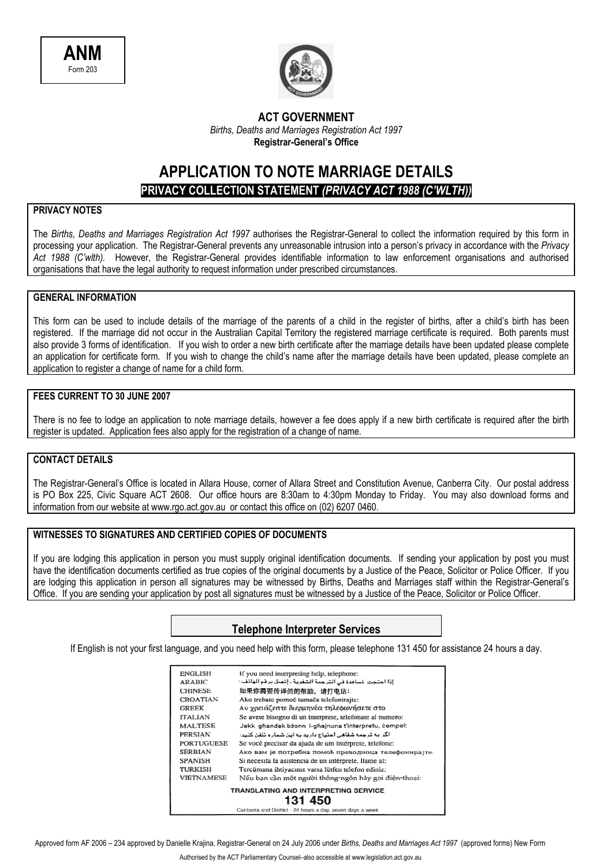



### **ACT GOVERNMENT**  *Births, Deaths and Marriages Registration Act 1997*  **Registrar-General's Office**

## **APPLICATION TO NOTE MARRIAGE DETAILS PRIVACY COLLECTION STATEMENT** *(PRIVACY ACT 1988 (C'WLTH))*

### **PRIVACY NOTES**

The *Births, Deaths and Marriages Registration Act 1997* authorises the Registrar-General to collect the information required by this form in processing your application. The Registrar-General prevents any unreasonable intrusion into a person's privacy in accordance with the *Privacy Act 1988 (C'wlth).* However, the Registrar-General provides identifiable information to law enforcement organisations and authorised organisations that have the legal authority to request information under prescribed circumstances.

### **GENERAL INFORMATION**

This form can be used to include details of the marriage of the parents of a child in the register of births, after a child's birth has been registered. If the marriage did not occur in the Australian Capital Territory the registered marriage certificate is required. Both parents must also provide 3 forms of identification. If you wish to order a new birth certificate after the marriage details have been updated please complete an application for certificate form. If you wish to change the child's name after the marriage details have been updated, please complete an application to register a change of name for a child form.

#### **FEES CURRENT TO 30 JUNE 2007**

There is no fee to lodge an application to note marriage details, however a fee does apply if a new birth certificate is required after the birth register is updated. Application fees also apply for the registration of a change of name.

### **CONTACT DETAILS**

The Registrar-General's Office is located in Allara House, corner of Allara Street and Constitution Avenue, Canberra City. Our postal address is PO Box 225, Civic Square ACT 2608. Our office hours are 8:30am to 4:30pm Monday to Friday. You may also download forms and information from our website at www.rgo.act.gov.au or contact this office on (02) 6207 0460.

### **WITNESSES TO SIGNATURES AND CERTIFIED COPIES OF DOCUMENTS**

If you are lodging this application in person you must supply original identification documents. If sending your application by post you must have the identification documents certified as true copies of the original documents by a Justice of the Peace, Solicitor or Police Officer. If you are lodging this application in person all signatures may be witnessed by Births, Deaths and Marriages staff within the Registrar-General's Office. If you are sending your application by post all signatures must be witnessed by a Justice of the Peace, Solicitor or Police Officer.

### **Telephone Interpreter Services**

If English is not your first language, and you need help with this form, please telephone 131 450 for assistance 24 hours a day.

| ENGLISH           | If you need interpreting help, telephone:                 |
|-------------------|-----------------------------------------------------------|
| <b>ARABIC</b>     | إذا احتجت لساعدة في الترجمة الشفوية ، إنصل برقم الهائف :  |
| <b>CHINESE</b>    | 如果你需要传译员的帮助,请打电话:                                         |
| <b>CROATIAN</b>   | Ako trebate pomoć tumača telefonirajte:                   |
| <b>GREEK</b>      | Αν γρειάζεστε διερμηνέα τηλεφωνήσετε στο                  |
| <b>ITALIAN</b>    | Se avete bisogno di un interprete, telefonate al numero:  |
| <b>MALTESE</b>    | Jekk ghandek bzonn I-ghainuna t'interpretu, cempel:       |
| PERSIAN           | اگر به ترجمه شفاهی احتیاج دارید به این شماره تلفن کنید:   |
| <b>PORTUGUESE</b> | Se você precisar da ajuda de um intérprete, telefone:     |
| <b>SERBIAN</b>    | Ако вам је потребна помоћ преводиоца телефонирајте:       |
| <b>SPANISH</b>    | Si necesita la asistencia de un intérprete, llame al:     |
| TURKISH           | Tercümana ihtiyacınız varsa lütfen telefon ediniz:        |
| <b>VIETNAMESE</b> | Nếu ban cần một người thông ngôn hãy gọi điện thoại:      |
|                   | TRANSLATING AND INTERPRETING SERVICE                      |
|                   | 131 450                                                   |
|                   | Canberra and District - 24 hours a day, seven days a week |

Approved form AF 2006 – 234 approved by Danielle Krajina, Registrar-General on 24 July 2006 under *Births, Deaths and Marriages Act 1997* (approved forms) New Form